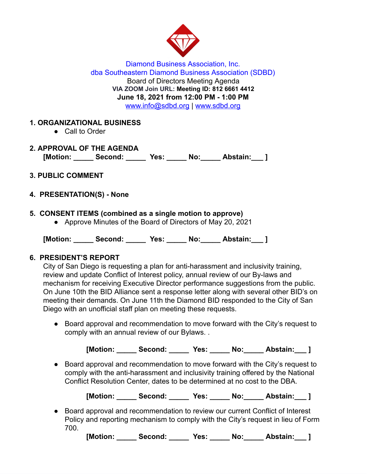

Diamond Business Association, Inc. dba Southeastern Diamond Business Association (SDBD) Board of Directors Meeting Agenda **VIA ZOOM Join URL: Meeting ID: 812 6661 4412 June 18, 2021 from 12:00 PM - 1:00 PM**  www.info@sdbd.org | [www.sdbd.org](http://www.sdbd.org/)

### **1. ORGANIZATIONAL BUSINESS**

- Call to Order
- **2. APPROVAL OF THE AGENDA [Motion: \_\_\_\_\_ Second: \_\_\_\_\_ Yes: \_\_\_\_\_ No:\_\_\_\_\_ Abstain:\_\_\_ ]**
- **3. PUBLIC COMMENT**
- **4. PRESENTATION(S) None**
- **5. CONSENT ITEMS (combined as a single motion to approve)** 
	- Approve Minutes of the Board of Directors of May 20, 2021

**[Motion: \_\_\_\_\_ Second: \_\_\_\_\_ Yes: \_\_\_\_\_ No:\_\_\_\_\_ Abstain:\_\_\_ ]** 

#### **6. PRESIDENT'S REPORT**

City of San Diego is requesting a plan for anti-harassment and inclusivity training, review and update Conflict of Interest policy, annual review of our By-laws and mechanism for receiving Executive Director performance suggestions from the public. On June 10th the BID Alliance sent a response letter along with several other BID's on meeting their demands. On June 11th the Diamond BID responded to the City of San Diego with an unofficial staff plan on meeting these requests.

● Board approval and recommendation to move forward with the City's request to comply with an annual review of our Bylaws. .

**[Motion: \_\_\_\_\_ Second: \_\_\_\_\_ Yes: \_\_\_\_\_ No:\_\_\_\_\_ Abstain:\_\_\_ ]** 

● Board approval and recommendation to move forward with the City's request to comply with the anti-harassment and inclusivity training offered by the National Conflict Resolution Center, dates to be determined at no cost to the DBA.

**[Motion: \_\_\_\_\_ Second: \_\_\_\_\_ Yes: \_\_\_\_\_ No:\_\_\_\_\_ Abstain:\_\_\_ ]** 

● Board approval and recommendation to review our current Conflict of Interest Policy and reporting mechanism to comply with the City's request in lieu of Form 700.

**[Motion: \_\_\_\_\_ Second: \_\_\_\_\_ Yes: \_\_\_\_\_ No:\_\_\_\_\_ Abstain:\_\_\_ ]**